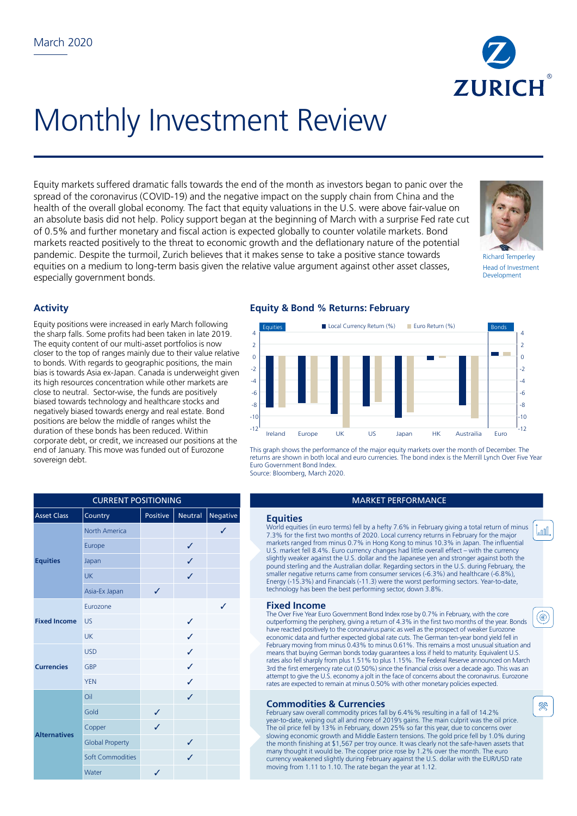

# Monthly Investment Review

Equity markets suffered dramatic falls towards the end of the month as investors began to panic over the spread of the coronavirus (COVID-19) and the negative impact on the supply chain from China and the health of the overall global economy. The fact that equity valuations in the U.S. were above fair-value on an absolute basis did not help. Policy support began at the beginning of March with a surprise Fed rate cut of 0.5% and further monetary and fiscal action is expected globally to counter volatile markets. Bond markets reacted positively to the threat to economic growth and the deflationary nature of the potential pandemic. Despite the turmoil, Zurich believes that it makes sense to take a positive stance towards equities on a medium to long-term basis given the relative value argument against other asset classes, especially government bonds.



Richard Temperley Head of Investment **Development** 

l<sub>a</sub>nnl

(⊛)

⊗

# **Activity**

Equity positions were increased in early March following the sharp falls. Some profits had been taken in late 2019. The equity content of our multi-asset portfolios is now closer to the top of ranges mainly due to their value relative to bonds. With regards to geographic positions, the main bias is towards Asia ex-Japan. Canada is underweight given its high resources concentration while other markets are close to neutral. Sector-wise, the funds are positively biased towards technology and healthcare stocks and negatively biased towards energy and real estate. Bond positions are below the middle of ranges whilst the duration of these bonds has been reduced. Within corporate debt, or credit, we increased our positions at the end of January. This move was funded out of Eurozone sovereign debt.

# **Equity & Bond % Returns: February**



This graph shows the performance of the major equity markets over the month of December. The returns are shown in both local and euro currencies. The bond index is the Merrill Lynch Over Five Year Euro Government Bond Index. Source: Bloomberg, March 2020.

#### **MARKET PERFORMANCE**

World equities (in euro terms) fell by a hefty 7.6% in February giving a total return of minus 7.3% for the first two months of 2020. Local currency returns in February for the major markets ranged from minus 0.7% in Hong Kong to minus 10.3% in Japan. The influential U.S. market fell 8.4%. Euro currency changes had little overall effect – with the currency slightly weaker against the U.S. dollar and the Japanese yen and stronger against both the pound sterling and the Australian dollar. Regarding sectors in the U.S. during February, the smaller negative returns came from consumer services (-6.3%) and healthcare (-6.8%), Energy (-15.3%) and Financials (-11.3) were the worst performing sectors. Year-to-date, technology has been the best performing sector, down 3.8%.

### **Fixed Income**

The Over Five Year Euro Government Bond Index rose by 0.7% in February, with the core outperforming the periphery, giving a return of 4.3% in the first two months of the year. Bonds have reacted positively to the coronavirus panic as well as the prospect of weaker Eurozone economic data and further expected global rate cuts. The German ten-year bond yield fell in February moving from minus 0.43% to minus 0.61%. This remains a most unusual situation and means that buying German bonds today guarantees a loss if held to maturity. Equivalent U.S. rates also fell sharply from plus 1.51% to plus 1.15%. The Federal Reserve announced on March 3rd the first emergency rate cut (0.50%) since the financial crisis over a decade ago. This was an attempt to give the U.S. economy a jolt in the face of concerns about the coronavirus. Eurozone rates are expected to remain at minus 0.50% with other monetary policies expected.

## **Commodities & Currencies**

February saw overall commodity prices fall by 6.4%% resulting in a fall of 14.2% year-to-date, wiping out all and more of 2019's gains. The main culprit was the oil price. The oil price fell by 13% in February, down 25% so far this year, due to concerns over slowing economic growth and Middle Eastern tensions. The gold price fell by 1.0% during the month finishing at \$1,567 per troy ounce. It was clearly not the safe-haven assets that many thought it would be. The copper price rose by 1.2% over the month. The euro currency weakened slightly during February against the U.S. dollar with the EUR/USD rate moving from 1.11 to 1.10. The rate began the year at 1.12.

| <b>CURRENT POSITIONING</b> |                         |              |                |                 |                                    |
|----------------------------|-------------------------|--------------|----------------|-----------------|------------------------------------|
| <b>Asset Class</b>         | Country                 | Positive     | <b>Neutral</b> | <b>Negative</b> | <b>Equities</b>                    |
| <b>Equities</b>            | North America           |              |                |                 | World equiti<br>7.3% for the       |
|                            | Europe                  |              | ✓              |                 | markets rand<br>U.S. market        |
|                            | Japan                   |              | ✓              |                 | slightly weak<br>pound sterlin     |
|                            | <b>UK</b>               |              | ✓              |                 | smaller nega<br>Energy (-15.       |
|                            | Asia-Ex Japan           | $\checkmark$ |                |                 | technology ł                       |
| <b>Fixed Income</b>        | Eurozone                |              |                | ✓               | <b>Fixed In</b>                    |
|                            | <b>US</b>               |              | ✓              |                 | The Over Five<br>outperformin      |
|                            | <b>UK</b>               |              | J              |                 | have reacted<br>economic da        |
| <b>Currencies</b>          | <b>USD</b>              |              | ✓              |                 | February mo<br>means that b        |
|                            | GBP                     |              | ✓              |                 | rates also fell<br>3rd the first e |
|                            | <b>YEN</b>              |              | ✓              |                 | attempt to gi<br>rates are exp     |
| <b>Alternatives</b>        | Oil                     |              | ✓              |                 | <b>Commo</b>                       |
|                            | Gold                    | ✓            |                |                 | February sav                       |
|                            | Copper                  | ✓            |                |                 | year-to-date<br>The oil price      |
|                            | <b>Global Property</b>  |              | $\checkmark$   |                 | slowing ecor<br>the month fi       |
|                            | <b>Soft Commodities</b> |              | J              |                 | many thoug<br>currency we          |
|                            | Water                   | J            |                |                 | moving from                        |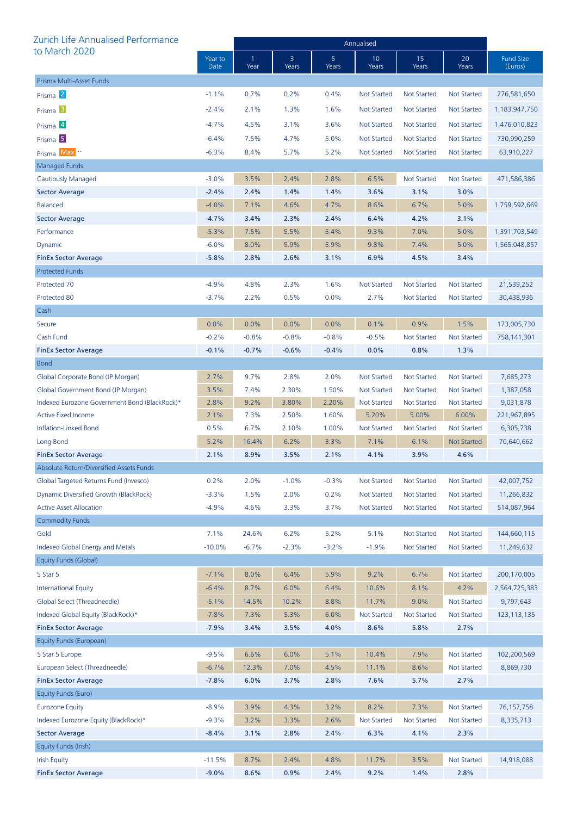| Zurich Life Annualised Performance            |                 | Annualised |            |            |                    |                    |                    |                             |  |
|-----------------------------------------------|-----------------|------------|------------|------------|--------------------|--------------------|--------------------|-----------------------------|--|
| to March 2020                                 | Year to<br>Date | 1<br>Year  | 3<br>Years | 5<br>Years | 10<br>Years        | 15<br>Years        | 20<br>Years        | <b>Fund Size</b><br>(Euros) |  |
| Prisma Multi-Asset Funds                      |                 |            |            |            |                    |                    |                    |                             |  |
| Prisma <sup>2</sup>                           | $-1.1%$         | 0.7%       | 0.2%       | 0.4%       | <b>Not Started</b> | <b>Not Started</b> | <b>Not Started</b> | 276,581,650                 |  |
| Prisma <sup>3</sup>                           | $-2.4%$         | 2.1%       | 1.3%       | 1.6%       | <b>Not Started</b> | <b>Not Started</b> | Not Started        | 1,183,947,750               |  |
| Prisma 4                                      | $-4.7%$         | 4.5%       | 3.1%       | 3.6%       | <b>Not Started</b> | <b>Not Started</b> | Not Started        | 1,476,010,823               |  |
| Prisma <sup>5</sup>                           | $-6.4%$         | 7.5%       | 4.7%       | 5.0%       | <b>Not Started</b> | Not Started        | Not Started        | 730,990,259                 |  |
| Prisma Max <sup>*</sup>                       | $-6.3%$         | 8.4%       | 5.7%       | 5.2%       | <b>Not Started</b> | <b>Not Started</b> | Not Started        | 63,910,227                  |  |
| Managed Funds                                 |                 |            |            |            |                    |                    |                    |                             |  |
| Cautiously Managed                            | $-3.0%$         | 3.5%       | 2.4%       | 2.8%       | 6.5%               | <b>Not Started</b> | Not Started        | 471,586,386                 |  |
| <b>Sector Average</b>                         | $-2.4%$         | 2.4%       | 1.4%       | 1.4%       | 3.6%               | 3.1%               | 3.0%               |                             |  |
| <b>Balanced</b>                               | $-4.0%$         | 7.1%       | 4.6%       | 4.7%       | 8.6%               | 6.7%               | 5.0%               | 1,759,592,669               |  |
| <b>Sector Average</b>                         | $-4.7%$         | 3.4%       | 2.3%       | 2.4%       | 6.4%               | 4.2%               | 3.1%               |                             |  |
| Performance                                   | $-5.3%$         | 7.5%       | 5.5%       | 5.4%       | 9.3%               | 7.0%               | 5.0%               | 1,391,703,549               |  |
| Dynamic                                       | $-6.0%$         | 8.0%       | 5.9%       | 5.9%       | 9.8%               | 7.4%               | 5.0%               | 1,565,048,857               |  |
| <b>FinEx Sector Average</b>                   | $-5.8%$         | 2.8%       | 2.6%       | 3.1%       | 6.9%               | 4.5%               | 3.4%               |                             |  |
| <b>Protected Funds</b>                        |                 |            |            |            |                    |                    |                    |                             |  |
| Protected 70                                  | $-4.9%$         | 4.8%       | 2.3%       | 1.6%       | <b>Not Started</b> | <b>Not Started</b> | <b>Not Started</b> | 21,539,252                  |  |
| Protected 80                                  | $-3.7%$         | 2.2%       | 0.5%       | 0.0%       | 2.7%               | <b>Not Started</b> | <b>Not Started</b> | 30,438,936                  |  |
| Cash                                          |                 |            |            |            |                    |                    |                    |                             |  |
| Secure                                        | 0.0%            | 0.0%       | 0.0%       | 0.0%       | 0.1%               | 0.9%               | 1.5%               | 173,005,730                 |  |
| Cash Fund                                     | $-0.2%$         | $-0.8%$    | $-0.8%$    | $-0.8%$    | $-0.5%$            | <b>Not Started</b> | <b>Not Started</b> | 758,141,301                 |  |
| <b>FinEx Sector Average</b>                   | $-0.1%$         | $-0.7%$    | $-0.6%$    | $-0.4%$    | 0.0%               | 0.8%               | 1.3%               |                             |  |
| <b>Bond</b>                                   |                 |            |            |            |                    |                    |                    |                             |  |
| Global Corporate Bond (JP Morgan)             | 2.7%            | 9.7%       | 2.8%       | 2.0%       | <b>Not Started</b> | <b>Not Started</b> | <b>Not Started</b> | 7,685,273                   |  |
| Global Government Bond (JP Morgan)            | 3.5%            | 7.4%       | 2.30%      | 1.50%      | <b>Not Started</b> | Not Started        | Not Started        | 1,387,058                   |  |
| Indexed Eurozone Government Bond (BlackRock)* | 2.8%            | 9.2%       | 3.80%      | 2.20%      | <b>Not Started</b> | <b>Not Started</b> | <b>Not Started</b> | 9,031,878                   |  |
| <b>Active Fixed Income</b>                    | 2.1%            | 7.3%       | 2.50%      | 1.60%      | 5.20%              | 5.00%              | 6.00%              | 221,967,895                 |  |
| <b>Inflation-Linked Bond</b>                  | 0.5%            | 6.7%       | 2.10%      | 1.00%      | Not Started        | <b>Not Started</b> | Not Started        | 6,305,738                   |  |
| Long Bond                                     | 5.2%            | 16.4%      | 6.2%       | 3.3%       | 7.1%               | 6.1%               | <b>Not Started</b> | 70,640,662                  |  |
| <b>FinEx Sector Average</b>                   | 2.1%            | 8.9%       | 3.5%       | 2.1%       | 4.1%               | 3.9%               | 4.6%               |                             |  |
| Absolute Return/Diversified Assets Funds      |                 |            |            |            |                    |                    |                    |                             |  |
| Global Targeted Returns Fund (Invesco)        | 0.2%            | 2.0%       | $-1.0%$    | $-0.3%$    | <b>Not Started</b> | <b>Not Started</b> | <b>Not Started</b> | 42,007,752                  |  |
| Dynamic Diversified Growth (BlackRock)        | $-3.3%$         | 1.5%       | 2.0%       | 0.2%       | <b>Not Started</b> | <b>Not Started</b> | <b>Not Started</b> | 11,266,832                  |  |
| <b>Active Asset Allocation</b>                | $-4.9%$         | 4.6%       | 3.3%       | 3.7%       | <b>Not Started</b> | Not Started        | <b>Not Started</b> | 514,087,964                 |  |
| <b>Commodity Funds</b>                        |                 |            |            |            |                    |                    |                    |                             |  |
| Gold                                          | 7.1%            | 24.6%      | 6.2%       | 5.2%       | 5.1%               | Not Started        | <b>Not Started</b> | 144,660,115                 |  |
| Indexed Global Energy and Metals              | $-10.0%$        | $-6.7%$    | $-2.3%$    | $-3.2%$    | $-1.9%$            | <b>Not Started</b> | <b>Not Started</b> | 11,249,632                  |  |
| Equity Funds (Global)                         |                 |            |            |            |                    |                    |                    |                             |  |
| 5 Star 5                                      | $-7.1%$         | 8.0%       | 6.4%       | 5.9%       | 9.2%               | 6.7%               | <b>Not Started</b> | 200,170,005                 |  |
| <b>International Equity</b>                   | $-6.4%$         | 8.7%       | 6.0%       | 6.4%       | 10.6%              | 8.1%               | 4.2%               | 2,564,725,383               |  |
| Global Select (Threadneedle)                  | $-5.1%$         | 14.5%      | 10.2%      | 8.8%       | 11.7%              | 9.0%               | <b>Not Started</b> | 9,797,643                   |  |
| Indexed Global Equity (BlackRock)*            | $-7.8%$         | 7.3%       | 5.3%       | 6.0%       | Not Started        | Not Started        | <b>Not Started</b> | 123,113,135                 |  |
| <b>FinEx Sector Average</b>                   | $-7.9%$         | 3.4%       | 3.5%       | 4.0%       | 8.6%               | 5.8%               | 2.7%               |                             |  |
| Equity Funds (European)                       |                 |            |            |            |                    |                    |                    |                             |  |
| 5 Star 5 Europe                               | $-9.5%$         | 6.6%       | 6.0%       | 5.1%       | 10.4%              | 7.9%               | <b>Not Started</b> | 102,200,569                 |  |
| European Select (Threadneedle)                | $-6.7%$         | 12.3%      | 7.0%       | 4.5%       | 11.1%              | 8.6%               | <b>Not Started</b> | 8,869,730                   |  |
| <b>FinEx Sector Average</b>                   | $-7.8%$         | 6.0%       | 3.7%       | 2.8%       | 7.6%               | 5.7%               | 2.7%               |                             |  |
| Equity Funds (Euro)                           |                 |            |            |            |                    |                    |                    |                             |  |
| <b>Eurozone Equity</b>                        | $-8.9%$         | 3.9%       | 4.3%       | 3.2%       | 8.2%               | 7.3%               | <b>Not Started</b> | 76, 157, 758                |  |
| Indexed Eurozone Equity (BlackRock)*          | $-9.3%$         | 3.2%       | 3.3%       | 2.6%       | <b>Not Started</b> | <b>Not Started</b> | <b>Not Started</b> | 8,335,713                   |  |
| <b>Sector Average</b>                         | $-8.4%$         | 3.1%       | 2.8%       | 2.4%       | 6.3%               | 4.1%               | 2.3%               |                             |  |
| Equity Funds (Irish)                          |                 |            |            |            |                    |                    |                    |                             |  |
| <b>Irish Equity</b>                           | $-11.5%$        | 8.7%       | 2.4%       | 4.8%       | 11.7%              | 3.5%               | <b>Not Started</b> | 14,918,088                  |  |
| <b>FinEx Sector Average</b>                   | $-9.0%$         | 8.6%       | 0.9%       | 2.4%       | 9.2%               | 1.4%               | 2.8%               |                             |  |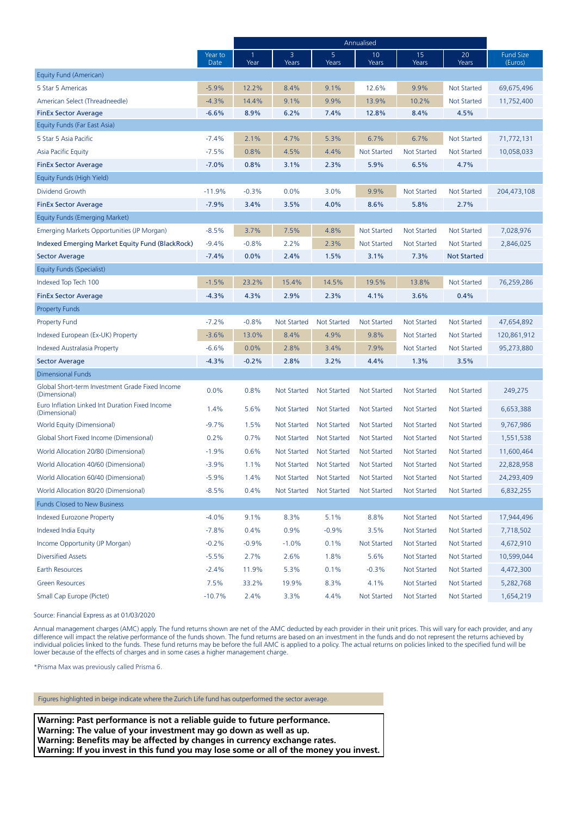|                                                                  |                 | Annualised |                    |                    |                    |                    |                    |                             |
|------------------------------------------------------------------|-----------------|------------|--------------------|--------------------|--------------------|--------------------|--------------------|-----------------------------|
|                                                                  | Year to<br>Date | 1<br>Year  | 3<br>Years         | 5<br>Years         | 10<br>Years        | 15<br>Years        | 20<br>Years        | <b>Fund Size</b><br>(Euros) |
| Equity Fund (American)                                           |                 |            |                    |                    |                    |                    |                    |                             |
| 5 Star 5 Americas                                                | $-5.9%$         | 12.2%      | 8.4%               | 9.1%               | 12.6%              | 9.9%               | <b>Not Started</b> | 69,675,496                  |
| American Select (Threadneedle)                                   | $-4.3%$         | 14.4%      | 9.1%               | 9.9%               | 13.9%              | 10.2%              | <b>Not Started</b> | 11,752,400                  |
| <b>FinEx Sector Average</b>                                      | $-6.6%$         | 8.9%       | 6.2%               | 7.4%               | 12.8%              | 8.4%               | 4.5%               |                             |
| Equity Funds (Far East Asia)                                     |                 |            |                    |                    |                    |                    |                    |                             |
| 5 Star 5 Asia Pacific                                            | $-7.4%$         | 2.1%       | 4.7%               | 5.3%               | 6.7%               | 6.7%               | Not Started        | 71,772,131                  |
| Asia Pacific Equity                                              | $-7.5%$         | 0.8%       | 4.5%               | 4.4%               | <b>Not Started</b> | <b>Not Started</b> | <b>Not Started</b> | 10,058,033                  |
| <b>FinEx Sector Average</b>                                      | $-7.0%$         | 0.8%       | 3.1%               | 2.3%               | 5.9%               | 6.5%               | 4.7%               |                             |
| Equity Funds (High Yield)                                        |                 |            |                    |                    |                    |                    |                    |                             |
| Dividend Growth                                                  | $-11.9%$        | $-0.3%$    | 0.0%               | 3.0%               | 9.9%               | <b>Not Started</b> | <b>Not Started</b> | 204,473,108                 |
| <b>FinEx Sector Average</b>                                      | $-7.9%$         | 3.4%       | 3.5%               | 4.0%               | 8.6%               | 5.8%               | 2.7%               |                             |
| Equity Funds (Emerging Market)                                   |                 |            |                    |                    |                    |                    |                    |                             |
| Emerging Markets Opportunities (JP Morgan)                       | $-8.5%$         | 3.7%       | 7.5%               | 4.8%               | <b>Not Started</b> | <b>Not Started</b> | <b>Not Started</b> | 7,028,976                   |
| Indexed Emerging Market Equity Fund (BlackRock)                  | $-9.4%$         | $-0.8%$    | 2.2%               | 2.3%               | <b>Not Started</b> | <b>Not Started</b> | <b>Not Started</b> | 2,846,025                   |
| <b>Sector Average</b>                                            | $-7.4%$         | $0.0\%$    | 2.4%               | 1.5%               | 3.1%               | 7.3%               | <b>Not Started</b> |                             |
| Equity Funds (Specialist)                                        |                 |            |                    |                    |                    |                    |                    |                             |
| Indexed Top Tech 100                                             | $-1.5%$         | 23.2%      | 15.4%              | 14.5%              | 19.5%              | 13.8%              | <b>Not Started</b> | 76,259,286                  |
| <b>FinEx Sector Average</b>                                      | $-4.3%$         | 4.3%       | 2.9%               | 2.3%               | 4.1%               | 3.6%               | 0.4%               |                             |
| <b>Property Funds</b>                                            |                 |            |                    |                    |                    |                    |                    |                             |
| <b>Property Fund</b>                                             | $-7.2%$         | $-0.8%$    | <b>Not Started</b> | <b>Not Started</b> | <b>Not Started</b> | <b>Not Started</b> | Not Started        | 47,654,892                  |
| Indexed European (Ex-UK) Property                                | $-3.6%$         | 13.0%      | 8.4%               | 4.9%               | 9.8%               | <b>Not Started</b> | <b>Not Started</b> | 120,861,912                 |
| Indexed Australasia Property                                     | $-6.6%$         | 0.0%       | 2.8%               | 3.4%               | 7.9%               | <b>Not Started</b> | <b>Not Started</b> | 95,273,880                  |
| <b>Sector Average</b>                                            | $-4.3%$         | $-0.2%$    | 2.8%               | 3.2%               | 4.4%               | 1.3%               | 3.5%               |                             |
| Dimensional Funds                                                |                 |            |                    |                    |                    |                    |                    |                             |
| Global Short-term Investment Grade Fixed Income<br>(Dimensional) | 0.0%            | 0.8%       | Not Started        | <b>Not Started</b> | <b>Not Started</b> | <b>Not Started</b> | Not Started        | 249,275                     |
| Euro Inflation Linked Int Duration Fixed Income<br>(Dimensional) | 1.4%            | 5.6%       | Not Started        | Not Started        | <b>Not Started</b> | <b>Not Started</b> | Not Started        | 6,653,388                   |
| World Equity (Dimensional)                                       | $-9.7%$         | 1.5%       | Not Started        | Not Started        | <b>Not Started</b> | <b>Not Started</b> | Not Started        | 9,767,986                   |
| Global Short Fixed Income (Dimensional)                          | 0.2%            | 0.7%       | Not Started        | Not Started        | <b>Not Started</b> | <b>Not Started</b> | Not Started        | 1,551,538                   |
| World Allocation 20/80 (Dimensional)                             | $-1.9%$         | 0.6%       | Not Started        | Not Started        | <b>Not Started</b> | <b>Not Started</b> | Not Started        | 11,600,464                  |
| World Allocation 40/60 (Dimensional)                             | $-3.9%$         | 1.1%       | Not Started        | <b>Not Started</b> | <b>Not Started</b> | <b>Not Started</b> | Not Started        | 22,828,958                  |
| World Allocation 60/40 (Dimensional)                             | $-5.9%$         | 1.4%       | Not Started        | Not Started        | Not Started        | Not Started        | Not Started        | 24,293,409                  |
| World Allocation 80/20 (Dimensional)                             | $-8.5%$         | 0.4%       | <b>Not Started</b> | <b>Not Started</b> | <b>Not Started</b> | <b>Not Started</b> | <b>Not Started</b> | 6,832,255                   |
| <b>Funds Closed to New Business</b>                              |                 |            |                    |                    |                    |                    |                    |                             |
| <b>Indexed Eurozone Property</b>                                 | $-4.0%$         | 9.1%       | 8.3%               | 5.1%               | 8.8%               | <b>Not Started</b> | <b>Not Started</b> | 17,944,496                  |
| Indexed India Equity                                             | $-7.8%$         | 0.4%       | 0.9%               | $-0.9%$            | 3.5%               | <b>Not Started</b> | <b>Not Started</b> | 7,718,502                   |
| Income Opportunity (JP Morgan)                                   | $-0.2%$         | $-0.9%$    | $-1.0%$            | 0.1%               | <b>Not Started</b> | <b>Not Started</b> | Not Started        | 4,672,910                   |
| <b>Diversified Assets</b>                                        | $-5.5%$         | 2.7%       | 2.6%               | 1.8%               | 5.6%               | <b>Not Started</b> | Not Started        | 10,599,044                  |
| Earth Resources                                                  | $-2.4%$         | 11.9%      | 5.3%               | 0.1%               | $-0.3%$            | <b>Not Started</b> | <b>Not Started</b> | 4,472,300                   |
| <b>Green Resources</b>                                           | 7.5%            | 33.2%      | 19.9%              | 8.3%               | 4.1%               | <b>Not Started</b> | <b>Not Started</b> | 5,282,768                   |
| Small Cap Europe (Pictet)                                        | $-10.7%$        | 2.4%       | 3.3%               | 4.4%               | Not Started        | Not Started        | Not Started        | 1,654,219                   |

Source: Financial Express as at 01/03/2020

Annual management charges (AMC) apply. The fund returns shown are net of the AMC deducted by each provider in their unit prices. This will vary for each provider, and any difference will impact the relative performance of the funds shown. The fund returns are based on an investment in the funds and do not represent the returns achieved by individual policies linked to the funds. These fund returns may be before the full AMC is applied to a policy. The actual returns on policies linked to the specified fund will be lower because of the effects of charges and in some cases a higher management charge.

\*Prisma Max was previously called Prisma 6.

Figures highlighted in beige indicate where the Zurich Life fund has outperformed the sector average.

**Warning: Past performance is not a reliable guide to future performance. Warning: The value of your investment may go down as well as up. Warning: Benefits may be affected by changes in currency exchange rates. Warning: If you invest in this fund you may lose some or all of the money you invest.**